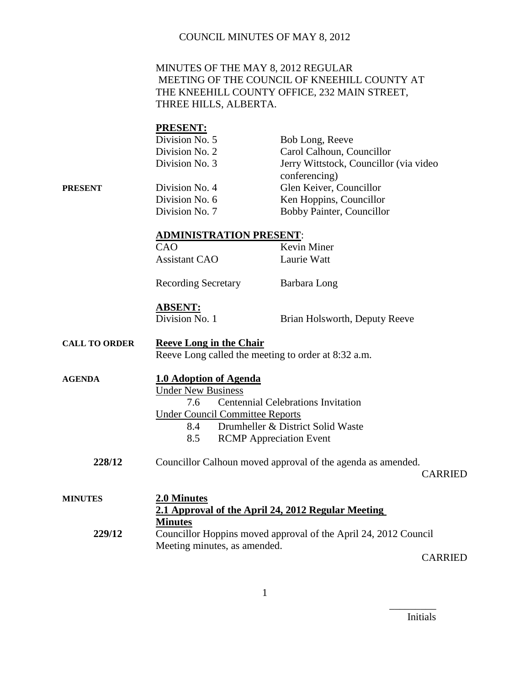### MINUTES OF THE MAY 8, 2012 REGULAR MEETING OF THE COUNCIL OF KNEEHILL COUNTY AT THE KNEEHILL COUNTY OFFICE, 232 MAIN STREET, THREE HILLS, ALBERTA.

# **PRESENT:** Division No. 5 Bob Long, Reeve Division No. 2 Carol Calhoun, Councillor Division No. 3 Jerry Wittstock, Councillor (via video conferencing) **PRESENT** Division No. 4 Glen Keiver, Councillor Division No. 6 Ken Hoppins, Councillor Division No. 7 Bobby Painter, Councillor **ADMINISTRATION PRESENT**: CAO Kevin Miner Assistant CAO Laurie Watt Recording Secretary Barbara Long **ABSENT:** Division No. 1 Brian Holsworth, Deputy Reeve **CALL TO ORDER Reeve Long in the Chair** Reeve Long called the meeting to order at 8:32 a.m. **AGENDA 1.0 Adoption of Agenda** Under New Business 7.6 Centennial Celebrations Invitation Under Council Committee Reports 8.4 Drumheller & District Solid Waste 8.5 RCMP Appreciation Event **228/12** Councillor Calhoun moved approval of the agenda as amended. CARRIED **MINUTES 2.0 Minutes 2.1 Approval of the April 24, 2012 Regular Meeting**

**Minutes 229/12** Councillor Hoppins moved approval of the April 24, 2012 Council Meeting minutes, as amended.

CARRIED

Initials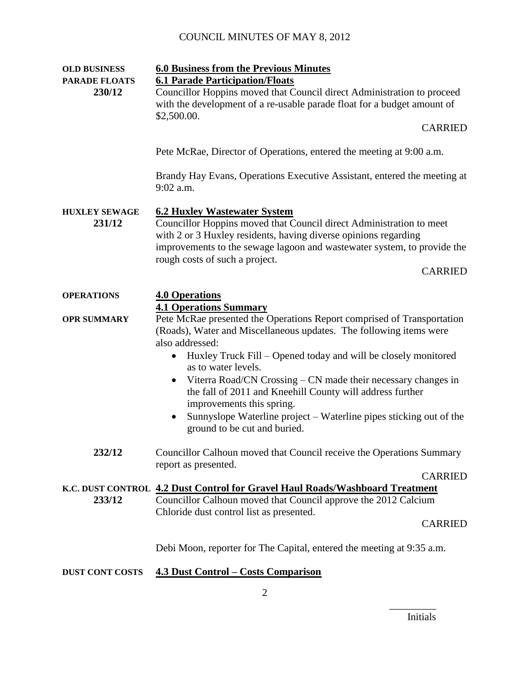| <b>OLD BUSINESS</b>            | <b>6.0 Business from the Previous Minutes</b>                                                                                                                                                                                                                                                                |
|--------------------------------|--------------------------------------------------------------------------------------------------------------------------------------------------------------------------------------------------------------------------------------------------------------------------------------------------------------|
| <b>PARADE FLOATS</b><br>230/12 | <b>6.1 Parade Participation/Floats</b><br>Councillor Hoppins moved that Council direct Administration to proceed<br>with the development of a re-usable parade float for a budget amount of<br>\$2,500.00.                                                                                                   |
|                                | <b>CARRIED</b>                                                                                                                                                                                                                                                                                               |
|                                | Pete McRae, Director of Operations, entered the meeting at 9:00 a.m.                                                                                                                                                                                                                                         |
|                                | Brandy Hay Evans, Operations Executive Assistant, entered the meeting at<br>$9:02$ a.m.                                                                                                                                                                                                                      |
| <b>HUXLEY SEWAGE</b><br>231/12 | <b>6.2 Huxley Wastewater System</b><br>Councillor Hoppins moved that Council direct Administration to meet<br>with 2 or 3 Huxley residents, having diverse opinions regarding<br>improvements to the sewage lagoon and wastewater system, to provide the<br>rough costs of such a project.<br><b>CARRIED</b> |
| <b>OPERATIONS</b>              | <b>4.0 Operations</b><br><b>4.1 Operations Summary</b>                                                                                                                                                                                                                                                       |
| <b>OPR SUMMARY</b>             | Pete McRae presented the Operations Report comprised of Transportation<br>(Roads), Water and Miscellaneous updates. The following items were<br>also addressed:<br>Huxley Truck Fill – Opened today and will be closely monitored<br>as to water levels.                                                     |
|                                | Viterra Road/CN Crossing – CN made their necessary changes in<br>$\bullet$<br>the fall of 2011 and Kneehill County will address further<br>improvements this spring.<br>Sunnyslope Waterline project – Waterline pipes sticking out of the<br>$\bullet$                                                      |
|                                | ground to be cut and buried.                                                                                                                                                                                                                                                                                 |
| 232/12                         | Councillor Calhoun moved that Council receive the Operations Summary<br>report as presented.                                                                                                                                                                                                                 |
|                                | <b>CARRIED</b>                                                                                                                                                                                                                                                                                               |
| 233/12                         | K.C. DUST CONTROL 4.2 Dust Control for Gravel Haul Roads/Washboard Treatment<br>Councillor Calhoun moved that Council approve the 2012 Calcium<br>Chloride dust control list as presented.                                                                                                                   |
|                                | <b>CARRIED</b>                                                                                                                                                                                                                                                                                               |
|                                | Debi Moon, reporter for The Capital, entered the meeting at 9:35 a.m.                                                                                                                                                                                                                                        |
| DUST CONT COSTS                | <b>4.3 Dust Control – Costs Comparison</b>                                                                                                                                                                                                                                                                   |

\_\_\_\_\_\_\_\_\_ Initials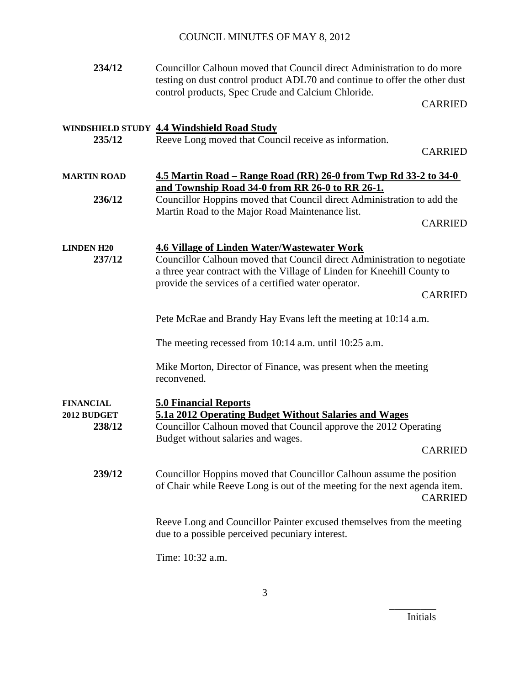| 234/12                                    | Councillor Calhoun moved that Council direct Administration to do more<br>testing on dust control product ADL70 and continue to offer the other dust<br>control products, Spec Crude and Calcium Chloride.                                                                         |  |
|-------------------------------------------|------------------------------------------------------------------------------------------------------------------------------------------------------------------------------------------------------------------------------------------------------------------------------------|--|
|                                           | <b>CARRIED</b>                                                                                                                                                                                                                                                                     |  |
| 235/12                                    | WINDSHIELD STUDY 4.4 Windshield Road Study<br>Reeve Long moved that Council receive as information.<br><b>CARRIED</b>                                                                                                                                                              |  |
| <b>MARTIN ROAD</b>                        | <u>4.5 Martin Road – Range Road (RR) 26-0 from Twp Rd 33-2 to 34-0</u>                                                                                                                                                                                                             |  |
| 236/12                                    | and Township Road 34-0 from RR 26-0 to RR 26-1.<br>Councillor Hoppins moved that Council direct Administration to add the                                                                                                                                                          |  |
|                                           | Martin Road to the Major Road Maintenance list.<br><b>CARRIED</b>                                                                                                                                                                                                                  |  |
| <b>LINDEN H20</b><br>237/12               | <b>4.6 Village of Linden Water/Wastewater Work</b><br>Councillor Calhoun moved that Council direct Administration to negotiate<br>a three year contract with the Village of Linden for Kneehill County to<br>provide the services of a certified water operator.<br><b>CARRIED</b> |  |
|                                           | Pete McRae and Brandy Hay Evans left the meeting at 10:14 a.m.                                                                                                                                                                                                                     |  |
|                                           | The meeting recessed from 10:14 a.m. until 10:25 a.m.                                                                                                                                                                                                                              |  |
|                                           | Mike Morton, Director of Finance, was present when the meeting<br>reconvened.                                                                                                                                                                                                      |  |
| <b>FINANCIAL</b><br>2012 BUDGET<br>238/12 | <b>5.0 Financial Reports</b><br>5.1a 2012 Operating Budget Without Salaries and Wages<br>Councillor Calhoun moved that Council approve the 2012 Operating<br>Budget without salaries and wages.<br><b>CARRIED</b>                                                                  |  |
| 239/12                                    | Councillor Hoppins moved that Councillor Calhoun assume the position<br>of Chair while Reeve Long is out of the meeting for the next agenda item.<br><b>CARRIED</b>                                                                                                                |  |
|                                           | Reeve Long and Councillor Painter excused themselves from the meeting<br>due to a possible perceived pecuniary interest.                                                                                                                                                           |  |
|                                           | Time: 10:32 a.m.                                                                                                                                                                                                                                                                   |  |

Initials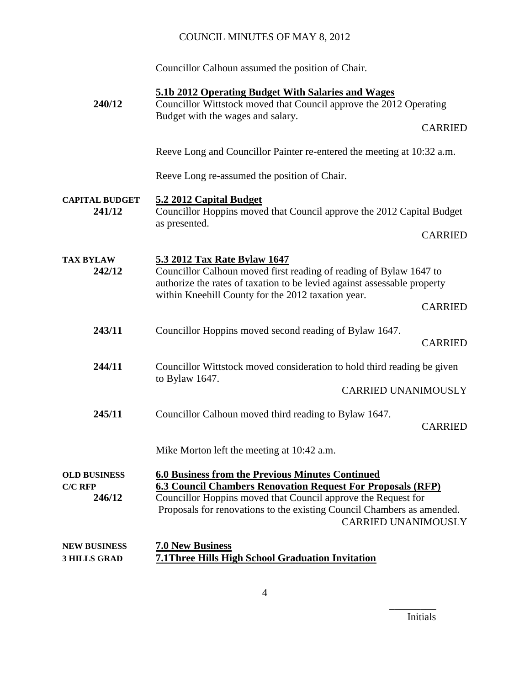Councillor Calhoun assumed the position of Chair.

| 240/12                                          | 5.1b 2012 Operating Budget With Salaries and Wages<br>Councillor Wittstock moved that Council approve the 2012 Operating                                                                                                                                                                               |                |
|-------------------------------------------------|--------------------------------------------------------------------------------------------------------------------------------------------------------------------------------------------------------------------------------------------------------------------------------------------------------|----------------|
|                                                 | Budget with the wages and salary.                                                                                                                                                                                                                                                                      | <b>CARRIED</b> |
|                                                 | Reeve Long and Councillor Painter re-entered the meeting at 10:32 a.m.                                                                                                                                                                                                                                 |                |
|                                                 | Reeve Long re-assumed the position of Chair.                                                                                                                                                                                                                                                           |                |
| <b>CAPITAL BUDGET</b><br>241/12                 | 5.2 2012 Capital Budget<br>Councillor Hoppins moved that Council approve the 2012 Capital Budget<br>as presented.                                                                                                                                                                                      |                |
|                                                 |                                                                                                                                                                                                                                                                                                        | <b>CARRIED</b> |
| <b>TAX BYLAW</b><br>242/12                      | 5.3 2012 Tax Rate Bylaw 1647<br>Councillor Calhoun moved first reading of reading of Bylaw 1647 to<br>authorize the rates of taxation to be levied against assessable property                                                                                                                         |                |
|                                                 | within Kneehill County for the 2012 taxation year.                                                                                                                                                                                                                                                     | <b>CARRIED</b> |
| 243/11                                          | Councillor Hoppins moved second reading of Bylaw 1647.                                                                                                                                                                                                                                                 | <b>CARRIED</b> |
| 244/11                                          | Councillor Wittstock moved consideration to hold third reading be given<br>to Bylaw $1647$ .                                                                                                                                                                                                           |                |
|                                                 | <b>CARRIED UNANIMOUSLY</b>                                                                                                                                                                                                                                                                             |                |
| 245/11                                          | Councillor Calhoun moved third reading to Bylaw 1647.                                                                                                                                                                                                                                                  | <b>CARRIED</b> |
|                                                 | Mike Morton left the meeting at 10:42 a.m.                                                                                                                                                                                                                                                             |                |
| <b>OLD BUSINESS</b><br><b>C/C RFP</b><br>246/12 | <b>6.0 Business from the Previous Minutes Continued</b><br><b>6.3 Council Chambers Renovation Request For Proposals (RFP)</b><br>Councillor Hoppins moved that Council approve the Request for<br>Proposals for renovations to the existing Council Chambers as amended.<br><b>CARRIED UNANIMOUSLY</b> |                |
| <b>NEW BUSINESS</b><br><b>3 HILLS GRAD</b>      | <b>7.0 New Business</b><br><b>7.1 Three Hills High School Graduation Invitation</b>                                                                                                                                                                                                                    |                |

Initials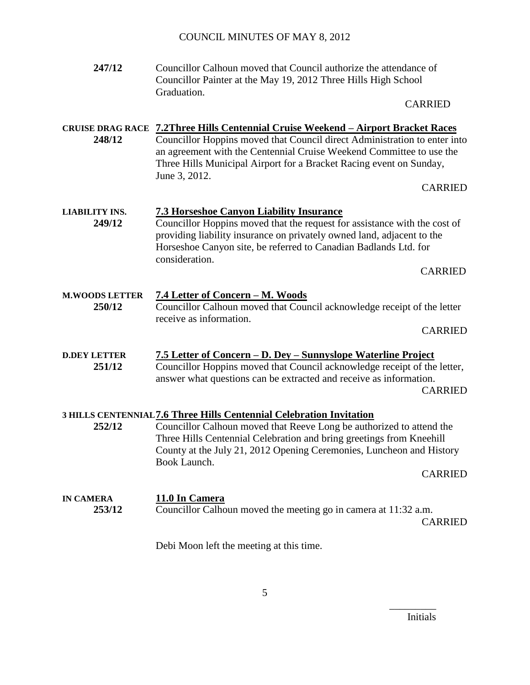| 247/12                          | Councillor Calhoun moved that Council authorize the attendance of<br>Councillor Painter at the May 19, 2012 Three Hills High School<br>Graduation.<br><b>CARRIED</b>                                                                                                                                                                                    |
|---------------------------------|---------------------------------------------------------------------------------------------------------------------------------------------------------------------------------------------------------------------------------------------------------------------------------------------------------------------------------------------------------|
| 248/12                          | <b>CRUISE DRAG RACE 7.2Three Hills Centennial Cruise Weekend - Airport Bracket Races</b><br>Councillor Hoppins moved that Council direct Administration to enter into<br>an agreement with the Centennial Cruise Weekend Committee to use the<br>Three Hills Municipal Airport for a Bracket Racing event on Sunday,<br>June 3, 2012.<br><b>CARRIED</b> |
| <b>LIABILITY INS.</b><br>249/12 | <b>7.3 Horseshoe Canyon Liability Insurance</b><br>Councillor Hoppins moved that the request for assistance with the cost of<br>providing liability insurance on privately owned land, adjacent to the<br>Horseshoe Canyon site, be referred to Canadian Badlands Ltd. for<br>consideration.<br><b>CARRIED</b>                                          |
| <b>M.WOODS LETTER</b><br>250/12 | <u>7.4 Letter of Concern - M. Woods</u><br>Councillor Calhoun moved that Council acknowledge receipt of the letter<br>receive as information.<br><b>CARRIED</b>                                                                                                                                                                                         |
| <b>D.DEY LETTER</b><br>251/12   | 7.5 Letter of Concern - D. Dey - Sunnyslope Waterline Project<br>Councillor Hoppins moved that Council acknowledge receipt of the letter,<br>answer what questions can be extracted and receive as information.<br><b>CARRIED</b>                                                                                                                       |
| 252/12                          | 3 HILLS CENTENNIAL 7.6 Three Hills Centennial Celebration Invitation<br>Councillor Calhoun moved that Reeve Long be authorized to attend the<br>Three Hills Centennial Celebration and bring greetings from Kneehill<br>County at the July 21, 2012 Opening Ceremonies, Luncheon and History<br>Book Launch.<br><b>CARRIED</b>                          |
| <b>IN CAMERA</b><br>253/12      | 11.0 In Camera<br>Councillor Calhoun moved the meeting go in camera at 11:32 a.m.<br><b>CARRIED</b>                                                                                                                                                                                                                                                     |

Debi Moon left the meeting at this time.

Initials